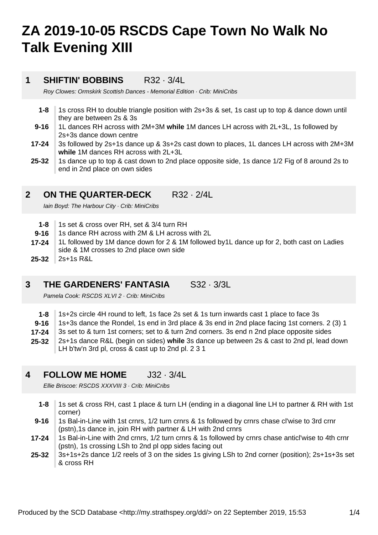# **ZA 2019-10-05 RSCDS Cape Town No Walk No Talk Evening XIII**

### **1 SHIFTIN' BOBBINS** R32 · 3/4L

Roy Clowes: Ormskirk Scottish Dances - Memorial Edition · Crib: MiniCribs

- **1-8** 1s cross RH to double triangle position with 2s+3s & set, 1s cast up to top & dance down until they are between 2s & 3s
- **9-16** 1L dances RH across with 2M+3M **while** 1M dances LH across with 2L+3L, 1s followed by 2s+3s dance down centre
- **17-24** 3s followed by 2s+1s dance up & 3s+2s cast down to places, 1L dances LH across with 2M+3M **while** 1M dances RH across with 2L+3L
- **25-32** 1s dance up to top & cast down to 2nd place opposite side, 1s dance 1/2 Fig of 8 around 2s to end in 2nd place on own sides

### **2 ON THE QUARTER-DECK** R32 · 2/4L

Iain Boyd: The Harbour City · Crib: MiniCribs

- **1-8** 1s set & cross over RH, set & 3/4 turn RH
- **9-16** 1s dance RH across with 2M & LH across with 2L
- **25-32 17-24** 1L followed by 1M dance down for 2 & 1M followed by1L dance up for 2, both cast on Ladies side & 1M crosses to 2nd place own side 2s+1s R&L
- **3 THE GARDENERS' FANTASIA S32 · 3/3L**

Pamela Cook: RSCDS XLVI 2 · Crib: MiniCribs

**1-8** 1s+2s circle 4H round to left, 1s face 2s set & 1s turn inwards cast 1 place to face 3s

- **9-16** 1s+3s dance the Rondel, 1s end in 3rd place & 3s end in 2nd place facing 1st corners. 2 (3) 1
- **17-24** 3s set to & turn 1st corners; set to & turn 2nd corners. 3s end n 2nd place opposite sides
- **25-32** 2s+1s dance R&L (begin on sides) **while** 3s dance up between 2s & cast to 2nd pl, lead down LH b'tw'n 3rd pl, cross & cast up to 2nd pl. 2 3 1
- **4 FOLLOW ME HOME** J32 · 3/4L

Ellie Briscoe: RSCDS XXXVIII 3 · Crib: MiniCribs

- **1-8** 1s set & cross RH, cast 1 place & turn LH (ending in a diagonal line LH to partner & RH with 1st corner)
- **9-16** 1s Bal-in-Line with 1st crnrs, 1/2 turn crnrs & 1s followed by crnrs chase cl'wise to 3rd crnr (pstn),1s dance in, join RH with partner & LH with 2nd crnrs
- **17-24** 1s Bal-in-Line with 2nd crnrs, 1/2 turn crnrs & 1s followed by crnrs chase anticl'wise to 4th crnr (pstn), 1s crossing LSh to 2nd pl opp sides facing out
- **25-32** 3s+1s+2s dance 1/2 reels of 3 on the sides 1s giving LSh to 2nd corner (position); 2s+1s+3s set & cross RH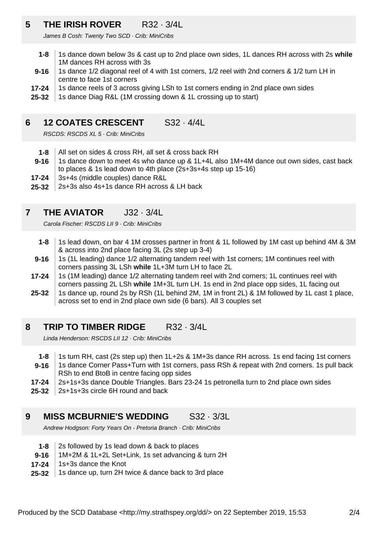### **5 THE IRISH ROVER** R32 · 3/4L

James B Cosh: Twenty Two SCD · Crib: MiniCribs

- **1-8** 1s dance down below 3s & cast up to 2nd place own sides, 1L dances RH across with 2s **while** 1M dances RH across with 3s
- **9-16** 1s dance 1/2 diagonal reel of 4 with 1st corners, 1/2 reel with 2nd corners & 1/2 turn LH in centre to face 1st corners
- **17-24** 1s dance reels of 3 across giving LSh to 1st corners ending in 2nd place own sides
- **25-32** 1s dance Diag R&L (1M crossing down & 1L crossing up to start)

### **6 12 COATES CRESCENT** S32 · 4/4L

RSCDS: RSCDS XL 5 · Crib: MiniCribs

- **1-8** All set on sides & cross RH, all set & cross back RH
- **9-16** 1s dance down to meet 4s who dance up & 1L+4L also 1M+4M dance out own sides, cast back to places & 1s lead down to 4th place (2s+3s+4s step up 15-16)
- **17-24** 3s+4s (middle couples) dance R&L
- **25-32** 2s+3s also 4s+1s dance RH across & LH back

#### **7 THE AVIATOR J32 · 3/4L**

Carola Fischer: RSCDS LII 9 · Crib: MiniCribs

- **1-8** 1s lead down, on bar 4 1M crosses partner in front & 1L followed by 1M cast up behind 4M & 3M & across into 2nd place facing 3L (2s step up 3-4)
- **9-16** 1s (1L leading) dance 1/2 alternating tandem reel with 1st corners; 1M continues reel with corners passing 3L LSh **while** 1L+3M turn LH to face 2L
- **17-24** 1s (1M leading) dance 1/2 alternating tandem reel with 2nd corners; 1L continues reel with corners passing 2L LSh **while** 1M+3L turn LH. 1s end in 2nd place opp sides, 1L facing out
- **25-32** 1s dance up, round 2s by RSh (1L behind 2M, 1M in front 2L) & 1M followed by 1L cast 1 place, across set to end in 2nd place own side (6 bars). All 3 couples set

### **8 TRIP TO TIMBER RIDGE** R32 · 3/4L

Linda Henderson: RSCDS LII 12 · Crib: MiniCribs

- **1-8** 1s turn RH, cast (2s step up) then 1L+2s & 1M+3s dance RH across. 1s end facing 1st corners
- **9-16** 1s dance Corner Pass+Turn with 1st corners, pass RSh & repeat with 2nd corners. 1s pull back RSh to end BtoB in centre facing opp sides
- **17-24** 2s+1s+3s dance Double Triangles. Bars 23-24 1s petronella turn to 2nd place own sides
- **25-32** 2s+1s+3s circle 6H round and back

#### **9 MISS MCBURNIE'S WEDDING** S32 · 3/3L

Andrew Hodgson: Forty Years On - Pretoria Branch · Crib: MiniCribs

- **1-8** 2s followed by 1s lead down & back to places
- **9-16** 1M+2M & 1L+2L Set+Link, 1s set advancing & turn 2H
- **17-24** 1s+3s dance the Knot
- **25-32** 1s dance up, turn 2H twice & dance back to 3rd place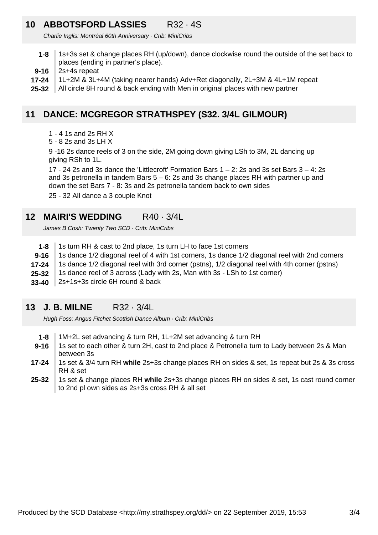### **10 ABBOTSFORD LASSIES** R32 · 4S

Charlie Inglis: Montréal 60th Anniversary · Crib: MiniCribs

- **1-8** 1s+3s set & change places RH (up/down), dance clockwise round the outside of the set back to places (ending in partner's place).
- **9-16** 2s+4s repeat
- **17-24** 1L+2M & 3L+4M (taking nearer hands) Adv+Ret diagonally, 2L+3M & 4L+1M repeat
- **25-32** All circle 8H round & back ending with Men in original places with new partner

### **11 DANCE: MCGREGOR STRATHSPEY (S32. 3/4L GILMOUR)**

- 1 4 1s and 2s RH X
- 5 8 2s and 3s LH X

9 -16 2s dance reels of 3 on the side, 2M going down giving LSh to 3M, 2L dancing up giving RSh to 1L.

17 - 24 2s and 3s dance the 'Littlecroft' Formation Bars  $1 - 2$ : 2s and 3s set Bars  $3 - 4$ : 2s and 3s petronella in tandem Bars  $5 - 6$ : 2s and 3s change places RH with partner up and down the set Bars 7 - 8: 3s and 2s petronella tandem back to own sides

25 - 32 All dance a 3 couple Knot

### **12 MAIRI'S WEDDING** R40 · 3/4L

James B Cosh: Twenty Two SCD · Crib: MiniCribs

- **1-8** 1s turn RH & cast to 2nd place, 1s turn LH to face 1st corners
- **9-16** 1s dance 1/2 diagonal reel of 4 with 1st corners, 1s dance 1/2 diagonal reel with 2nd corners
- **17-24** 1s dance 1/2 diagonal reel with 3rd corner (pstns), 1/2 diagonal reel with 4th corner (pstns)
- **25-32** 1s dance reel of 3 across (Lady with 2s, Man with 3s - LSh to 1st corner)
- **33-40** 2s+1s+3s circle 6H round & back

#### **13 J. B. MILNE** R32 · 3/4L

Hugh Foss: Angus Fitchet Scottish Dance Album · Crib: MiniCribs

- **1-8** 1M+2L set advancing & turn RH, 1L+2M set advancing & turn RH
- **9-16** 1s set to each other & turn 2H, cast to 2nd place & Petronella turn to Lady between 2s & Man between 3s
- **17-24** 1s set & 3/4 turn RH **while** 2s+3s change places RH on sides & set, 1s repeat but 2s & 3s cross RH & set
- **25-32** 1s set & change places RH **while** 2s+3s change places RH on sides & set, 1s cast round corner to 2nd pl own sides as 2s+3s cross RH & all set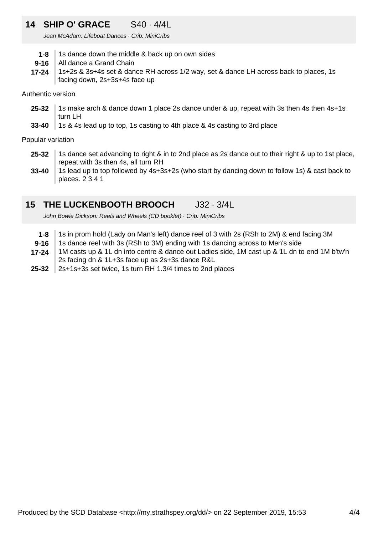### **14 SHIP O' GRACE** S40 · 4/4L

Jean McAdam: Lifeboat Dances · Crib: MiniCribs

- **1-8** 1s dance down the middle & back up on own sides
- **9-16** All dance a Grand Chain
- **17-24** 1s+2s & 3s+4s set & dance RH across 1/2 way, set & dance LH across back to places, 1s facing down, 2s+3s+4s face up

### Authentic version

- **25-32** 1s make arch & dance down 1 place 2s dance under & up, repeat with 3s then 4s then 4s+1s turn LH
- **33-40** 1s & 4s lead up to top, 1s casting to 4th place & 4s casting to 3rd place

Popular variation

- **25-32** 1s dance set advancing to right & in to 2nd place as 2s dance out to their right & up to 1st place, repeat with 3s then 4s, all turn RH
- **33-40** 1s lead up to top followed by 4s+3s+2s (who start by dancing down to follow 1s) & cast back to places. 2 3 4 1

### **15 THE LUCKENBOOTH BROOCH** J32 · 3/4L

John Bowie Dickson: Reels and Wheels (CD booklet) · Crib: MiniCribs

- **1-8** 1s in prom hold (Lady on Man's left) dance reel of 3 with 2s (RSh to 2M) & end facing 3M
- **9-16** 1s dance reel with 3s (RSh to 3M) ending with 1s dancing across to Men's side
- **17-24** 1M casts up & 1L dn into centre & dance out Ladies side, 1M cast up & 1L dn to end 1M b'tw'n 2s facing dn & 1L+3s face up as 2s+3s dance R&L
- **25-32** 2s+1s+3s set twice, 1s turn RH 1.3/4 times to 2nd places